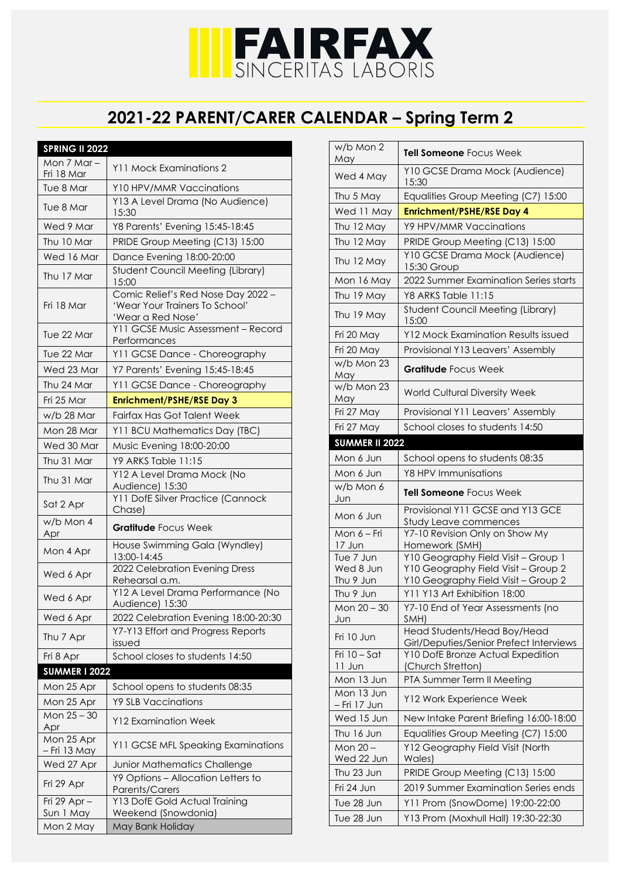## **IFAIRFAX**<br>SINCERITAS LABORIS

## **2021-22 PARENT/CARER CALENDAR – Spring Term 2**

| <b>SPRING II 2022</b>       |                                                                                           |
|-----------------------------|-------------------------------------------------------------------------------------------|
| Mon 7 Mar-                  | Y11 Mock Examinations 2                                                                   |
| Fri 18 Mar                  |                                                                                           |
| Tue 8 Mar                   | Y10 HPV/MMR Vaccinations                                                                  |
| Tue 8 Mar                   | Y13 A Level Drama (No Audience)<br>15:30                                                  |
| Wed 9 Mar                   | Y8 Parents' Evening 15:45-18:45                                                           |
| Thu 10 Mar                  | PRIDE Group Meeting (C13) 15:00                                                           |
| Wed 16 Mar                  | Dance Evening 18:00-20:00                                                                 |
| Thu 17 Mar                  | <b>Student Council Meeting (Library)</b><br>15:00                                         |
| Fri 18 Mar                  | Comic Relief's Red Nose Day 2022 -<br>'Wear Your Trainers To School'<br>'Wear a Red Nose' |
| Tue 22 Mar                  | Y11 GCSE Music Assessment - Record<br>Performances                                        |
| Tue 22 Mar                  | Y11 GCSE Dance - Choreography                                                             |
| Wed 23 Mar                  | Y7 Parents' Evening 15:45-18:45                                                           |
| Thu 24 Mar                  | Y11 GCSE Dance - Choreography                                                             |
| Fri 25 Mar                  | <b>Enrichment/PSHE/RSE Day 3</b>                                                          |
| w/b 28 Mar                  | <b>Fairfax Has Got Talent Week</b>                                                        |
| Mon 28 Mar                  | Y11 BCU Mathematics Day (TBC)                                                             |
| Wed 30 Mar                  | Music Evening 18:00-20:00                                                                 |
| Thu 31 Mar                  | Y9 ARKS Table 11:15                                                                       |
| Thu 31 Mar                  | Y12 A Level Drama Mock (No<br>Audience) 15:30                                             |
| Sat 2 Apr                   | Y11 DofE Silver Practice (Cannock<br>Chase)                                               |
| w/b Mon 4<br>Apr            | <b>Gratitude Focus Week</b>                                                               |
| Mon 4 Apr                   | House Swimming Gala (Wyndley)<br>13:00-14:45                                              |
| Wed 6 Apr                   | 2022 Celebration Evening Dress<br>Rehearsal a.m.                                          |
| Wed 6 Apr                   | Y12 A Level Drama Performance (No<br>Audience) 15:30                                      |
| Wed 6 Apr                   | 2022 Celebration Evening 18:00-20:30                                                      |
| Thu 7 Apr                   | Y7-Y13 Effort and Progress Reports<br>issued                                              |
| Fri 8 Apr                   | School closes to students 14:50                                                           |
| <b>SUMMER I 2022</b>        |                                                                                           |
|                             |                                                                                           |
| Mon 25 Apr                  | School opens to students 08:35                                                            |
| Mon 25 Apr                  | <b>Y9 SLB Vaccinations</b>                                                                |
| Mon 25 - 30<br>Apr          | <b>Y12 Examination Week</b>                                                               |
| Mon 25 Apr<br>- Fri 13 May  | Y11 GCSE MFL Speaking Examinations                                                        |
| Wed 27 Apr                  | Junior Mathematics Challenge                                                              |
|                             | Y9 Options - Allocation Letters to                                                        |
| Fri 29 Apr                  | Parents/Carers                                                                            |
| Fri 29 Apr $-$<br>Sun 1 May | Y13 DofE Gold Actual Training<br>Weekend (Snowdonia)                                      |

| w/b Mon 2<br>May                  | <b>Tell Someone</b> Focus Week                                               |  |  |
|-----------------------------------|------------------------------------------------------------------------------|--|--|
| Wed 4 May                         | Y10 GCSE Drama Mock (Audience)<br>15:30                                      |  |  |
| Thu 5 May                         | Equalities Group Meeting (C7) 15:00                                          |  |  |
| Wed 11 May                        | <b>Enrichment/PSHE/RSE Day 4</b>                                             |  |  |
| Thu 12 May                        | Y9 HPV/MMR Vaccinations                                                      |  |  |
| Thu 12 May                        | PRIDE Group Meeting (C13) 15:00                                              |  |  |
| Thu 12 May                        | Y10 GCSE Drama Mock (Audience)<br>15:30 Group                                |  |  |
| Mon 16 May                        | 2022 Summer Examination Series starts                                        |  |  |
| Thu 19 May                        | Y8 ARKS Table 11:15                                                          |  |  |
| Thu 19 May                        | <b>Student Council Meeting (Library)</b><br>15:00                            |  |  |
| Fri 20 May                        | <b>Y12 Mock Examination Results issued</b>                                   |  |  |
| Fri 20 May                        | Provisional Y13 Leavers' Assembly                                            |  |  |
| w/b Mon 23<br>May                 | <b>Gratitude</b> Focus Week                                                  |  |  |
| w/b Mon 23<br>May                 | <b>World Cultural Diversity Week</b>                                         |  |  |
| Fri 27 May                        | Provisional Y11 Leavers' Assembly                                            |  |  |
| Fri 27 May                        | School closes to students 14:50                                              |  |  |
|                                   | <b>SUMMER II 2022</b>                                                        |  |  |
| Mon 6 Jun                         | School opens to students 08:35                                               |  |  |
| Mon 6 Jun                         | Y8 HPV Immunisations                                                         |  |  |
|                                   |                                                                              |  |  |
| w/b Mon 6<br>Jun                  | <b>Tell Someone</b> Focus Week                                               |  |  |
| Mon 6 Jun                         | Provisional Y11 GCSE and Y13 GCE                                             |  |  |
|                                   | Study Leave commences                                                        |  |  |
| Mon $6 - \overline{Fi}$<br>17 Jun | Y7-10 Revision Only on Show My<br>Homework (SMH)                             |  |  |
| Tue 7 Jun                         | Y10 Geography Field Visit - Group 1                                          |  |  |
| Wed 8 Jun                         | Y10 Geography Field Visit - Group 2                                          |  |  |
| Thu 9 Jun                         | Y10 Geography Field Visit - Group 2<br>Y11 Y13 Art Exhibition 18:00          |  |  |
| Thu 9 Jun<br>Mon 20 - 30<br>Jun   | Y7-10 End of Year Assessments (no<br>SMH)                                    |  |  |
| Fri 10 Jun                        | Head Students/Head Boy/Head                                                  |  |  |
| Fri $10 - S$ at                   | Girl/Deputies/Senior Prefect Interviews<br>Y10 DofE Bronze Actual Expedition |  |  |
| 11 Jun                            | (Church Stretton)                                                            |  |  |
| Mon 13 Jun                        | PTA Summer Term II Meeting                                                   |  |  |
| Mon 13 Jun<br>– Fri 17 Jun        | Y12 Work Experience Week                                                     |  |  |
| Wed 15 Jun                        | New Intake Parent Briefing 16:00-18:00                                       |  |  |
| Thu 16 Jun                        | Equalities Group Meeting (C7) 15:00                                          |  |  |
| Mon 20-                           | Y12 Geography Field Visit (North                                             |  |  |
| Wed 22 Jun<br>Thu 23 Jun          | Wales)<br>PRIDE Group Meeting (C13) 15:00                                    |  |  |
| Fri 24 Jun                        | 2019 Summer Examination Series ends                                          |  |  |
| Tue 28 Jun                        | Y11 Prom (SnowDome) 19:00-22:00                                              |  |  |
| Tue 28 Jun                        | Y13 Prom (Moxhull Hall) 19:30-22:30                                          |  |  |